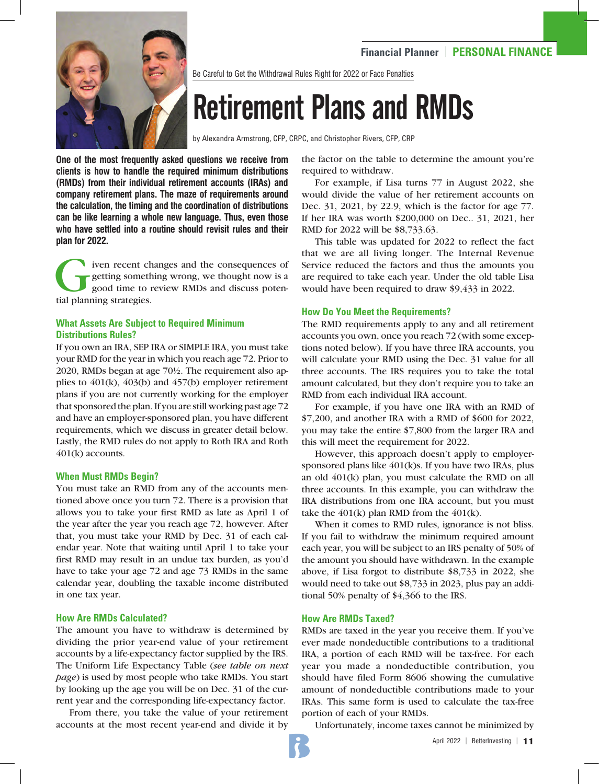

Be Careful to Get the Withdrawal Rules Right for 2022 or Face Penalties

# Retirement Plans and RMDs

by Alexandra Armstrong, CFP, CRPC, and Christopher Rivers, CFP, CRP

**One of the most frequently asked questions we receive from clients is how to handle the required minimum distributions (RMDs) from their individual retirement accounts (IRAs) and company retirement plans. The maze of requirements around the calculation, the timing and the coordination of distributions can be like learning a whole new language. Thus, even those who have settled into a routine should revisit rules and their plan for 2022.**

iven recent changes and the consequences of getting something wrong, we thought now is a good time to review RMDs and discuss potential planning strategies.

# **What Assets Are Subject to Required Minimum Distributions Rules?**

If you own an IRA, SEP IRA or SIMPLE IRA, you must take your RMD for the year in which you reach age 72. Prior to 2020, RMDs began at age 70½. The requirement also applies to 401(k), 403(b) and 457(b) employer retirement plans if you are not currently working for the employer that sponsored the plan. If you are still working past age 72 and have an employer-sponsored plan, you have different requirements, which we discuss in greater detail below. Lastly, the RMD rules do not apply to Roth IRA and Roth 401(k) accounts.

#### **When Must RMDs Begin?**

You must take an RMD from any of the accounts mentioned above once you turn 72. There is a provision that allows you to take your first RMD as late as April 1 of the year after the year you reach age 72, however. After that, you must take your RMD by Dec. 31 of each calendar year. Note that waiting until April 1 to take your first RMD may result in an undue tax burden, as you'd have to take your age 72 and age 73 RMDs in the same calendar year, doubling the taxable income distributed in one tax year.

#### **How Are RMDs Calculated?**

The amount you have to withdraw is determined by dividing the prior year-end value of your retirement accounts by a life-expectancy factor supplied by the IRS. The Uniform Life Expectancy Table (*see table on next page*) is used by most people who take RMDs. You start by looking up the age you will be on Dec. 31 of the current year and the corresponding life-expectancy factor.

From there, you take the value of your retirement accounts at the most recent year-end and divide it by the factor on the table to determine the amount you're required to withdraw.

For example, if Lisa turns 77 in August 2022, she would divide the value of her retirement accounts on Dec. 31, 2021, by 22.9, which is the factor for age 77. If her IRA was worth \$200,000 on Dec.. 31, 2021, her RMD for 2022 will be \$8,733.63.

This table was updated for 2022 to reflect the fact that we are all living longer. The Internal Revenue Service reduced the factors and thus the amounts you are required to take each year. Under the old table Lisa would have been required to draw \$9,433 in 2022.

### **How Do You Meet the Requirements?**

The RMD requirements apply to any and all retirement accounts you own, once you reach 72 (with some exceptions noted below). If you have three IRA accounts, you will calculate your RMD using the Dec. 31 value for all three accounts. The IRS requires you to take the total amount calculated, but they don't require you to take an RMD from each individual IRA account.

For example, if you have one IRA with an RMD of \$7,200, and another IRA with a RMD of \$600 for 2022, you may take the entire \$7,800 from the larger IRA and this will meet the requirement for 2022.

However, this approach doesn't apply to employersponsored plans like 401(k)s. If you have two IRAs, plus an old 401(k) plan, you must calculate the RMD on all three accounts. In this example, you can withdraw the IRA distributions from one IRA account, but you must take the  $401(k)$  plan RMD from the  $401(k)$ .

When it comes to RMD rules, ignorance is not bliss. If you fail to withdraw the minimum required amount each year, you will be subject to an IRS penalty of 50% of the amount you should have withdrawn. In the example above, if Lisa forgot to distribute \$8,733 in 2022, she would need to take out \$8,733 in 2023, plus pay an additional 50% penalty of \$4,366 to the IRS.

# **How Are RMDs Taxed?**

RMDs are taxed in the year you receive them. If you've ever made nondeductible contributions to a traditional IRA, a portion of each RMD will be tax-free. For each year you made a nondeductible contribution, you should have filed Form 8606 showing the cumulative amount of nondeductible contributions made to your IRAs. This same form is used to calculate the tax-free portion of each of your RMDs.

Unfortunately, income taxes cannot be minimized by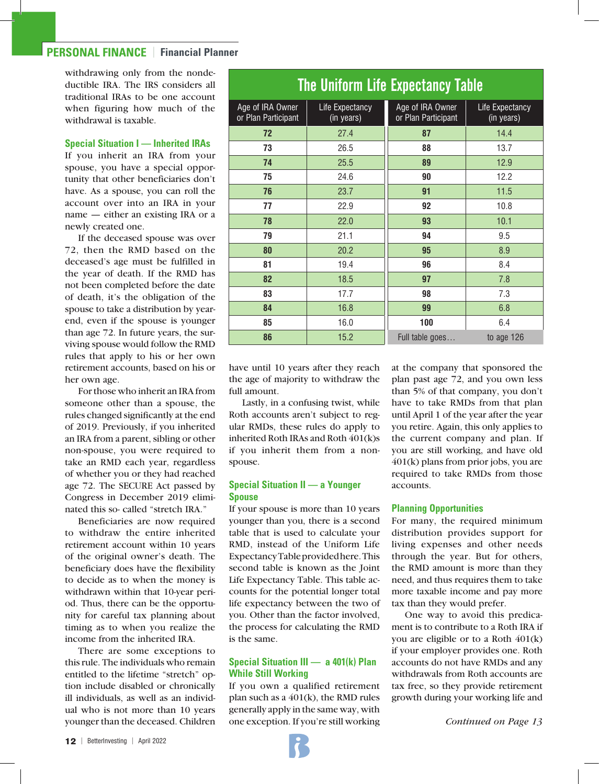# **PERSONAL FINANCE** | **Financial Planner**

withdrawing only from the nondeductible IRA. The IRS considers all traditional IRAs to be one account when figuring how much of the withdrawal is taxable.

#### **Special Situation I — Inherited IRAs**

If you inherit an IRA from your spouse, you have a special opportunity that other beneficiaries don't have. As a spouse, you can roll the account over into an IRA in your name — either an existing IRA or a newly created one.

If the deceased spouse was over 72, then the RMD based on the deceased's age must be fulfilled in the year of death. If the RMD has not been completed before the date of death, it's the obligation of the spouse to take a distribution by yearend, even if the spouse is younger than age 72. In future years, the surviving spouse would follow the RMD rules that apply to his or her own retirement accounts, based on his or her own age.

For those who inherit an IRA from someone other than a spouse, the rules changed significantly at the end of 2019. Previously, if you inherited an IRA from a parent, sibling or other non-spouse, you were required to take an RMD each year, regardless of whether you or they had reached age 72. The SECURE Act passed by Congress in December 2019 eliminated this so- called "stretch IRA."

Beneficiaries are now required to withdraw the entire inherited retirement account within 10 years of the original owner's death. The beneficiary does have the flexibility to decide as to when the money is withdrawn within that 10-year period. Thus, there can be the opportunity for careful tax planning about timing as to when you realize the income from the inherited IRA.

There are some exceptions to this rule. The individuals who remain entitled to the lifetime "stretch" option include disabled or chronically ill individuals, as well as an individual who is not more than 10 years younger than the deceased. Children

| <b>The Uniform Life Expectancy Table</b> |                               |                                         |                               |
|------------------------------------------|-------------------------------|-----------------------------------------|-------------------------------|
| Age of IRA Owner<br>or Plan Participant  | Life Expectancy<br>(in years) | Age of IRA Owner<br>or Plan Participant | Life Expectancy<br>(in years) |
| 72                                       | 27.4                          | 87                                      | 14.4                          |
| 73                                       | 26.5                          | 88                                      | 13.7                          |
| 74                                       | 25.5                          | 89                                      | 12.9                          |
| 75                                       | 24.6                          | 90                                      | 12.2                          |
| 76                                       | 23.7                          | 91                                      | 11.5                          |
| 77                                       | 22.9                          | 92                                      | 10.8                          |
| 78                                       | 22.0                          | 93                                      | 10.1                          |
| 79                                       | 21.1                          | 94                                      | 9.5                           |
| 80                                       | 20.2                          | 95                                      | 8.9                           |
| 81                                       | 19.4                          | 96                                      | 8.4                           |
| 82                                       | 18.5                          | 97                                      | 7.8                           |
| 83                                       | 17.7                          | 98                                      | 7.3                           |
| 84                                       | 16.8                          | 99                                      | 6.8                           |
| 85                                       | 16.0                          | 100                                     | 6.4                           |
| 86                                       | 15.2                          | Full table goes                         | to age $126$                  |

have until 10 years after they reach the age of majority to withdraw the full amount.

Lastly, in a confusing twist, while Roth accounts aren't subject to regular RMDs, these rules do apply to inherited Roth IRAs and Roth 401(k)s if you inherit them from a nonspouse.

## **Special Situation II — a Younger Spouse**

If your spouse is more than 10 years younger than you, there is a second table that is used to calculate your RMD, instead of the Uniform Life Expectancy Table provided here. This second table is known as the Joint Life Expectancy Table. This table accounts for the potential longer total life expectancy between the two of you. Other than the factor involved, the process for calculating the RMD is the same.

# **Special Situation III — a 401(k) Plan While Still Working**

If you own a qualified retirement plan such as a 401(k), the RMD rules generally apply in the same way, with one exception. If you're still working at the company that sponsored the plan past age 72, and you own less than 5% of that company, you don't have to take RMDs from that plan until April 1 of the year after the year you retire. Again, this only applies to the current company and plan. If you are still working, and have old 401(k) plans from prior jobs, you are required to take RMDs from those accounts.

#### **Planning Opportunities**

For many, the required minimum distribution provides support for living expenses and other needs through the year. But for others, the RMD amount is more than they need, and thus requires them to take more taxable income and pay more tax than they would prefer.

One way to avoid this predicament is to contribute to a Roth IRA if you are eligible or to a Roth 401(k) if your employer provides one. Roth accounts do not have RMDs and any withdrawals from Roth accounts are tax free, so they provide retirement growth during your working life and